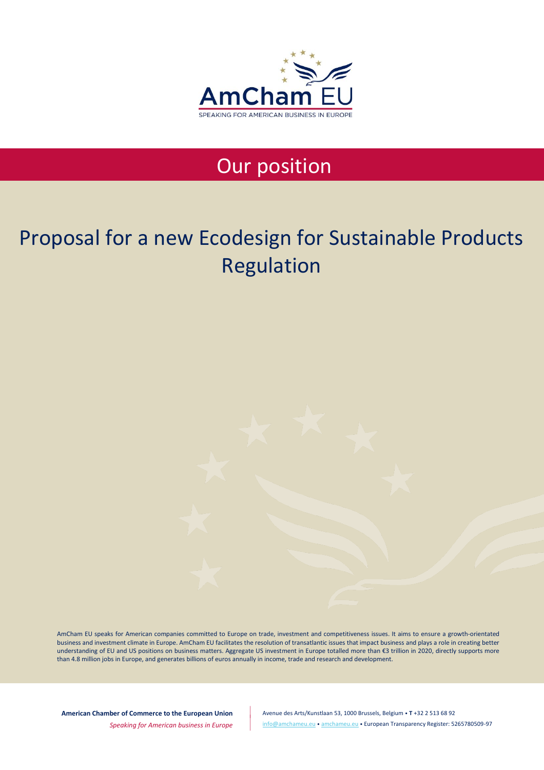

## Our position

# Proposal for a new Ecodesign for Sustainable Products Regulation

AmCham EU speaks for American companies committed to Europe on trade, investment and competitiveness issues. It aims to ensure a growth-orientated business and investment climate in Europe. AmCham EU facilitates the resolution of transatlantic issues that impact business and plays a role in creating better understanding of EU and US positions on business matters. Aggregate US investment in Europe totalled more than €3 trillion in 2020, directly supports more than 4.8 million jobs in Europe, and generates billions of euros annually in income, trade and research and development.

**American Chamber of Commerce to the European Union**

Avenue des Arts/Kunstlaan 53, 1000 Brussels, Belgium • **T** +32 2 513 68 92 [info@amchameu.eu](mailto:info@amchameu.eu) • [amchameu.eu](http://www.amchameu.eu/) • European Transparency Register: 5265780509-97

*Speaking for American business in Europe*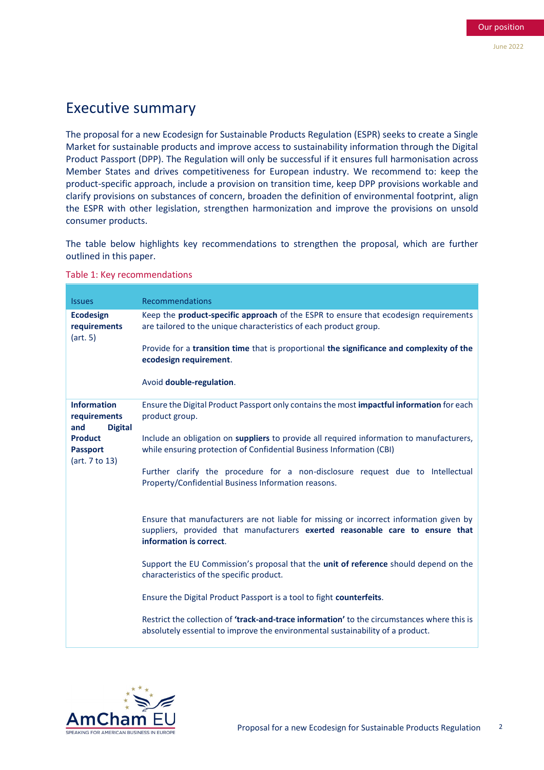## Executive summary

The proposal for a new Ecodesign for Sustainable Products Regulation (ESPR) seeks to create a Single Market for sustainable products and improve access to sustainability information through the Digital Product Passport (DPP). The Regulation will only be successful if it ensures full harmonisation across Member States and drives competitiveness for European industry. We recommend to: keep the product-specific approach, include a provision on transition time, keep DPP provisions workable and clarify provisions on substances of concern, broaden the definition of environmental footprint, align the ESPR with other legislation, strengthen harmonization and improve the provisions on unsold consumer products.

The table below highlights key recommendations to strengthen the proposal, which are further outlined in this paper.

| <b>Issues</b>                                               | <b>Recommendations</b>                                                                                                                                                                             |
|-------------------------------------------------------------|----------------------------------------------------------------------------------------------------------------------------------------------------------------------------------------------------|
| <b>Ecodesign</b><br>requirements<br>(art. 5)                | Keep the <b>product-specific approach</b> of the ESPR to ensure that ecodesign requirements<br>are tailored to the unique characteristics of each product group.                                   |
|                                                             | Provide for a transition time that is proportional the significance and complexity of the<br>ecodesign requirement.                                                                                |
|                                                             | Avoid double-regulation.                                                                                                                                                                           |
| <b>Information</b><br>requirements<br><b>Digital</b><br>and | Ensure the Digital Product Passport only contains the most impactful information for each<br>product group.                                                                                        |
| <b>Product</b><br><b>Passport</b><br>(art. 7 to 13)         | Include an obligation on suppliers to provide all required information to manufacturers,<br>while ensuring protection of Confidential Business Information (CBI)                                   |
|                                                             | Further clarify the procedure for a non-disclosure request due to Intellectual<br>Property/Confidential Business Information reasons.                                                              |
|                                                             | Ensure that manufacturers are not liable for missing or incorrect information given by<br>suppliers, provided that manufacturers exerted reasonable care to ensure that<br>information is correct. |
|                                                             | Support the EU Commission's proposal that the unit of reference should depend on the<br>characteristics of the specific product.                                                                   |
|                                                             | Ensure the Digital Product Passport is a tool to fight counterfeits.                                                                                                                               |
|                                                             | Restrict the collection of 'track-and-trace information' to the circumstances where this is<br>absolutely essential to improve the environmental sustainability of a product.                      |

Table 1: Key recommendations

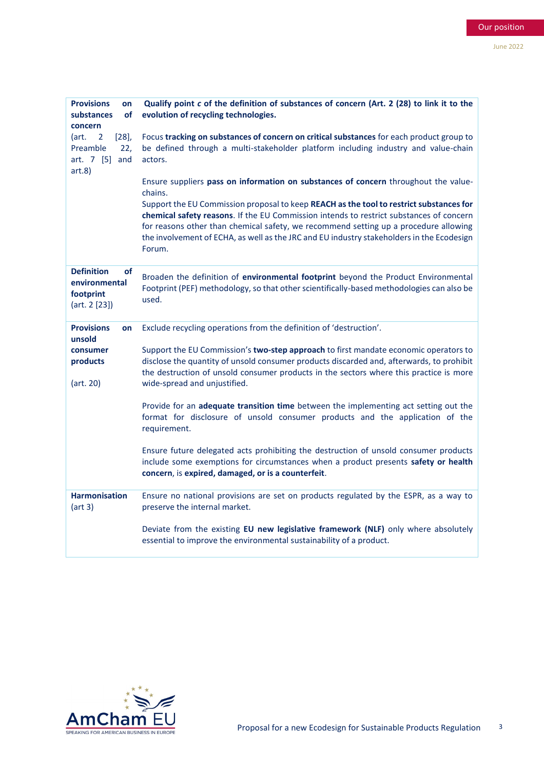| <b>Provisions</b><br>on<br><b>of</b><br>substances<br>concern          | Qualify point c of the definition of substances of concern (Art. 2 (28) to link it to the<br>evolution of recycling technologies.                                                                                                                                                                                                                                                 |
|------------------------------------------------------------------------|-----------------------------------------------------------------------------------------------------------------------------------------------------------------------------------------------------------------------------------------------------------------------------------------------------------------------------------------------------------------------------------|
| $[28]$<br>(art.<br>2<br>Preamble<br>22,<br>art. 7 [5] and<br>art.8)    | Focus tracking on substances of concern on critical substances for each product group to<br>be defined through a multi-stakeholder platform including industry and value-chain<br>actors.                                                                                                                                                                                         |
|                                                                        | Ensure suppliers pass on information on substances of concern throughout the value-<br>chains.                                                                                                                                                                                                                                                                                    |
|                                                                        | Support the EU Commission proposal to keep REACH as the tool to restrict substances for<br>chemical safety reasons. If the EU Commission intends to restrict substances of concern<br>for reasons other than chemical safety, we recommend setting up a procedure allowing<br>the involvement of ECHA, as well as the JRC and EU industry stakeholders in the Ecodesign<br>Forum. |
| <b>Definition</b><br>οf<br>environmental<br>footprint<br>(art. 2 [23]) | Broaden the definition of environmental footprint beyond the Product Environmental<br>Footprint (PEF) methodology, so that other scientifically-based methodologies can also be<br>used.                                                                                                                                                                                          |
| <b>Provisions</b><br>on<br>unsold                                      | Exclude recycling operations from the definition of 'destruction'.                                                                                                                                                                                                                                                                                                                |
| consumer<br>products<br>(art. 20)                                      | Support the EU Commission's two-step approach to first mandate economic operators to<br>disclose the quantity of unsold consumer products discarded and, afterwards, to prohibit<br>the destruction of unsold consumer products in the sectors where this practice is more<br>wide-spread and unjustified.                                                                        |
|                                                                        | Provide for an adequate transition time between the implementing act setting out the<br>format for disclosure of unsold consumer products and the application of the<br>requirement.                                                                                                                                                                                              |
|                                                                        | Ensure future delegated acts prohibiting the destruction of unsold consumer products<br>include some exemptions for circumstances when a product presents safety or health<br>concern, is expired, damaged, or is a counterfeit.                                                                                                                                                  |
| <b>Harmonisation</b><br>(art 3)                                        | Ensure no national provisions are set on products regulated by the ESPR, as a way to<br>preserve the internal market.                                                                                                                                                                                                                                                             |
|                                                                        | Deviate from the existing EU new legislative framework (NLF) only where absolutely<br>essential to improve the environmental sustainability of a product.                                                                                                                                                                                                                         |

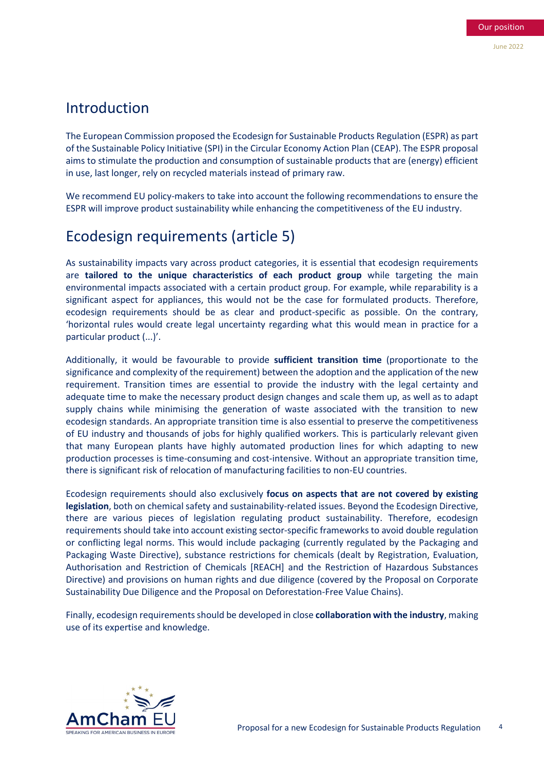### Introduction

The European Commission proposed the Ecodesign for Sustainable Products Regulation (ESPR) as part of the Sustainable Policy Initiative (SPI) in the Circular Economy Action Plan (CEAP). The ESPR proposal aims to stimulate the production and consumption of sustainable products that are (energy) efficient in use, last longer, rely on recycled materials instead of primary raw.

We recommend EU policy-makers to take into account the following recommendations to ensure the ESPR will improve product sustainability while enhancing the competitiveness of the EU industry.

## Ecodesign requirements (article 5)

As sustainability impacts vary across product categories, it is essential that ecodesign requirements are **tailored to the unique characteristics of each product group** while targeting the main environmental impacts associated with a certain product group. For example, while reparability is a significant aspect for appliances, this would not be the case for formulated products. Therefore, ecodesign requirements should be as clear and product-specific as possible. On the contrary, 'horizontal rules would create legal uncertainty regarding what this would mean in practice for a particular product (...)'.

Additionally, it would be favourable to provide **sufficient transition time** (proportionate to the significance and complexity of the requirement) between the adoption and the application of the new requirement. Transition times are essential to provide the industry with the legal certainty and adequate time to make the necessary product design changes and scale them up, as well as to adapt supply chains while minimising the generation of waste associated with the transition to new ecodesign standards. An appropriate transition time is also essential to preserve the competitiveness of EU industry and thousands of jobs for highly qualified workers. This is particularly relevant given that many European plants have highly automated production lines for which adapting to new production processes is time-consuming and cost-intensive. Without an appropriate transition time, there is significant risk of relocation of manufacturing facilities to non-EU countries.

Ecodesign requirements should also exclusively **focus on aspects that are not covered by existing legislation**, both on chemical safety and sustainability-related issues. Beyond the Ecodesign Directive, there are various pieces of legislation regulating product sustainability. Therefore, ecodesign requirements should take into account existing sector-specific frameworks to avoid double regulation or conflicting legal norms. This would include packaging (currently regulated by the Packaging and Packaging Waste Directive), substance restrictions for chemicals (dealt by Registration, Evaluation, Authorisation and Restriction of Chemicals [REACH] and the Restriction of Hazardous Substances Directive) and provisions on human rights and due diligence (covered by the Proposal on Corporate Sustainability Due Diligence and the Proposal on Deforestation-Free Value Chains).

Finally, ecodesign requirements should be developed in close **collaboration with the industry**, making use of its expertise and knowledge.

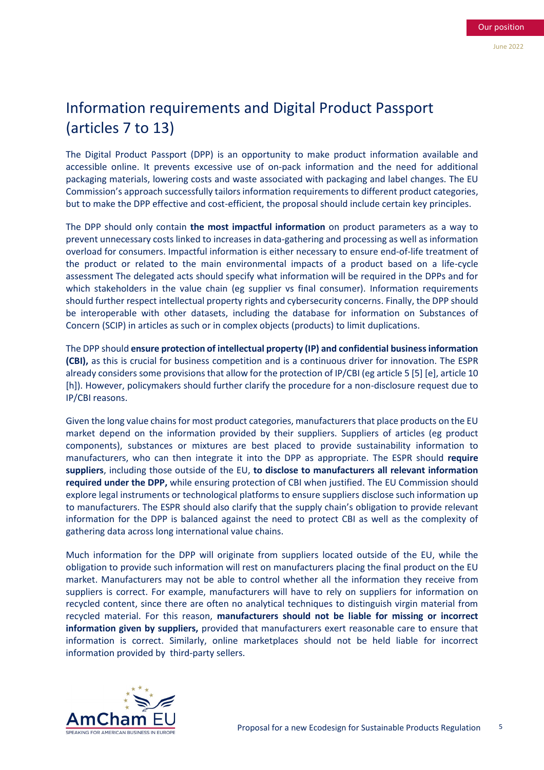## Information requirements and Digital Product Passport (articles 7 to 13)

The Digital Product Passport (DPP) is an opportunity to make product information available and accessible online. It prevents excessive use of on-pack information and the need for additional packaging materials, lowering costs and waste associated with packaging and label changes. The EU Commission's approach successfully tailors information requirements to different product categories, but to make the DPP effective and cost-efficient, the proposal should include certain key principles.

The DPP should only contain **the most impactful information** on product parameters as a way to prevent unnecessary costs linked to increases in data-gathering and processing as well as information overload for consumers. Impactful information is either necessary to ensure end-of-life treatment of the product or related to the main environmental impacts of a product based on a life-cycle assessment The delegated acts should specify what information will be required in the DPPs and for which stakeholders in the value chain (eg supplier vs final consumer). Information requirements should further respect intellectual property rights and cybersecurity concerns. Finally, the DPP should be interoperable with other datasets, including the database for information on Substances of Concern (SCIP) in articles as such or in complex objects (products) to limit duplications.

The DPP should **ensure protection of intellectual property (IP) and confidential business information (CBI),** as this is crucial for business competition and is a continuous driver for innovation. The ESPR already considers some provisions that allow for the protection of IP/CBI (eg article 5 [5] [e], article 10 [h]). However, policymakers should further clarify the procedure for a non-disclosure request due to IP/CBI reasons.

Given the long value chains for most product categories, manufacturers that place products on the EU market depend on the information provided by their suppliers. Suppliers of articles (eg product components), substances or mixtures are best placed to provide sustainability information to manufacturers, who can then integrate it into the DPP as appropriate. The ESPR should **require suppliers**, including those outside of the EU, **to disclose to manufacturers all relevant information required under the DPP,** while ensuring protection of CBI when justified. The EU Commission should explore legal instruments or technological platforms to ensure suppliers disclose such information up to manufacturers. The ESPR should also clarify that the supply chain's obligation to provide relevant information for the DPP is balanced against the need to protect CBI as well as the complexity of gathering data across long international value chains.

Much information for the DPP will originate from suppliers located outside of the EU, while the obligation to provide such information will rest on manufacturers placing the final product on the EU market. Manufacturers may not be able to control whether all the information they receive from suppliers is correct. For example, manufacturers will have to rely on suppliers for information on recycled content, since there are often no analytical techniques to distinguish virgin material from recycled material. For this reason, **manufacturers should not be liable for missing or incorrect information given by suppliers,** provided that manufacturers exert reasonable care to ensure that information is correct. Similarly, online marketplaces should not be held liable for incorrect information provided by third-party sellers.

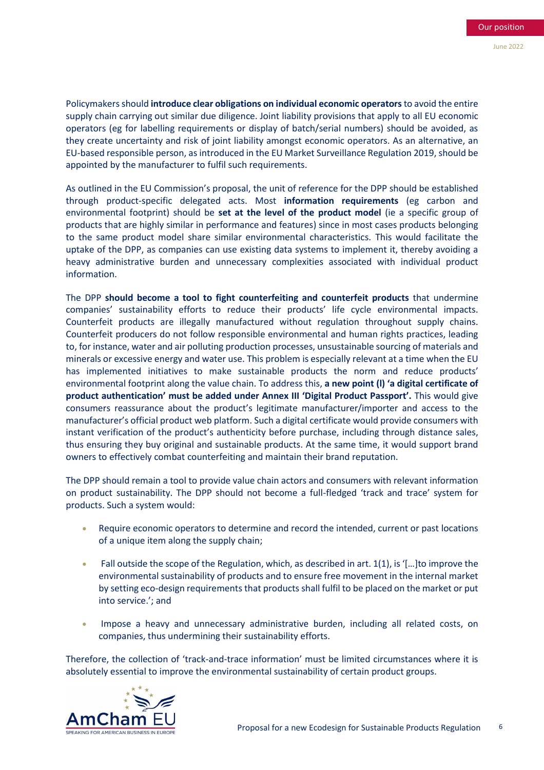Policymakers should **introduce clear obligations on individual economic operators**to avoid the entire supply chain carrying out similar due diligence. Joint liability provisions that apply to all EU economic operators (eg for labelling requirements or display of batch/serial numbers) should be avoided, as they create uncertainty and risk of joint liability amongst economic operators. As an alternative, an EU-based responsible person, as introduced in the EU Market Surveillance Regulation 2019, should be appointed by the manufacturer to fulfil such requirements.

As outlined in the EU Commission's proposal, the unit of reference for the DPP should be established through product-specific delegated acts. Most **information requirements** (eg carbon and environmental footprint) should be **set at the level of the product model** (ie a specific group of products that are highly similar in performance and features) since in most cases products belonging to the same product model share similar environmental characteristics. This would facilitate the uptake of the DPP, as companies can use existing data systems to implement it, thereby avoiding a heavy administrative burden and unnecessary complexities associated with individual product information.

The DPP **should become a tool to fight counterfeiting and counterfeit products** that undermine companies' sustainability efforts to reduce their products' life cycle environmental impacts. Counterfeit products are illegally manufactured without regulation throughout supply chains. Counterfeit producers do not follow responsible environmental and human rights practices, leading to, for instance, water and air polluting production processes, unsustainable sourcing of materials and minerals or excessive energy and water use. This problem is especially relevant at a time when the EU has implemented initiatives to make sustainable products the norm and reduce products' environmental footprint along the value chain. To address this, **a new point (l) 'a digital certificate of product authentication' must be added under Annex III 'Digital Product Passport'.** This would give consumers reassurance about the product's legitimate manufacturer/importer and access to the manufacturer's official product web platform. Such a digital certificate would provide consumers with instant verification of the product's authenticity before purchase, including through distance sales, thus ensuring they buy original and sustainable products. At the same time, it would support brand owners to effectively combat counterfeiting and maintain their brand reputation.

The DPP should remain a tool to provide value chain actors and consumers with relevant information on product sustainability. The DPP should not become a full-fledged 'track and trace' system for products. Such a system would:

- Require economic operators to determine and record the intended, current or past locations of a unique item along the supply chain;
- Fall outside the scope of the Regulation, which, as described in art.  $1(1)$ , is '[...] to improve the environmental sustainability of products and to ensure free movement in the internal market by setting eco-design requirements that products shall fulfil to be placed on the market or put into service.'; and
- Impose a heavy and unnecessary administrative burden, including all related costs, on companies, thus undermining their sustainability efforts.

Therefore, the collection of 'track-and-trace information' must be limited circumstances where it is absolutely essential to improve the environmental sustainability of certain product groups.

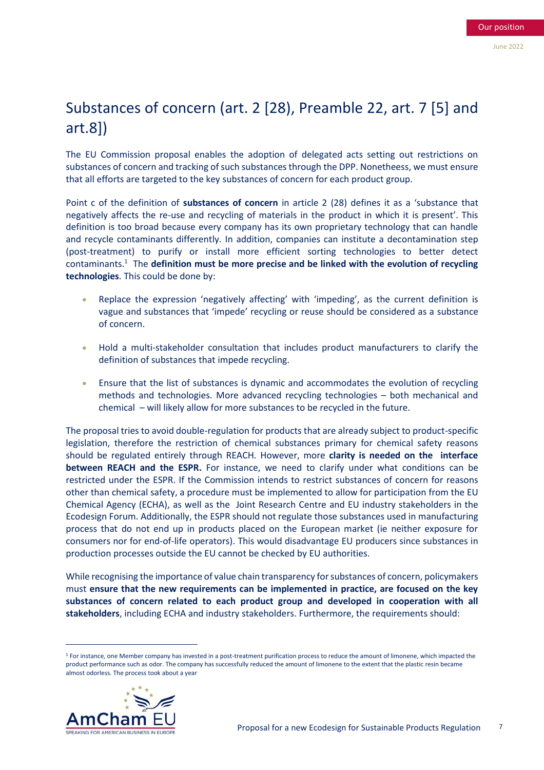## Substances of concern (art. 2 [28), Preamble 22, art. 7 [5] and art.8])

The EU Commission proposal enables the adoption of delegated acts setting out restrictions on substances of concern and tracking of such substances through the DPP. Nonetheess, we must ensure that all efforts are targeted to the key substances of concern for each product group.

Point c of the definition of **substances of concern** in article 2 (28) defines it as a 'substance that negatively affects the re-use and recycling of materials in the product in which it is present'. This definition is too broad because every company has its own proprietary technology that can handle and recycle contaminants differently. In addition, companies can institute a decontamination step (post-treatment) to purify or install more efficient sorting technologies to better detect contaminants.<sup>1</sup> The **definition must be more precise and be linked with the evolution of recycling technologies**. This could be done by:

- Replace the expression 'negatively affecting' with 'impeding', as the current definition is vague and substances that 'impede' recycling or reuse should be considered as a substance of concern.
- Hold a multi-stakeholder consultation that includes product manufacturers to clarify the definition of substances that impede recycling.
- Ensure that the list of substances is dynamic and accommodates the evolution of recycling methods and technologies. More advanced recycling technologies – both mechanical and chemical – will likely allow for more substances to be recycled in the future.

The proposal tries to avoid double-regulation for products that are already subject to product-specific legislation, therefore the restriction of chemical substances primary for chemical safety reasons should be regulated entirely through REACH. However, more **clarity is needed on the interface between REACH and the ESPR.** For instance, we need to clarify under what conditions can be restricted under the ESPR. If the Commission intends to restrict substances of concern for reasons other than chemical safety, a procedure must be implemented to allow for participation from the EU Chemical Agency (ECHA), as well as the Joint Research Centre and EU industry stakeholders in the Ecodesign Forum. Additionally, the ESPR should not regulate those substances used in manufacturing process that do not end up in products placed on the European market (ie neither exposure for consumers nor for end-of-life operators). This would disadvantage EU producers since substances in production processes outside the EU cannot be checked by EU authorities.

While recognising the importance of value chain transparency for substances of concern, policymakers must **ensure that the new requirements can be implemented in practice, are focused on the key substances of concern related to each product group and developed in cooperation with all stakeholders**, including ECHA and industry stakeholders. Furthermore, the requirements should:

<sup>1</sup> For instance, one Member company has invested in a post-treatment purification process to reduce the amount of limonene, which impacted the product performance such as odor. The company has successfully reduced the amount of limonene to the extent that the plastic resin became almost odorless. The process took about a year

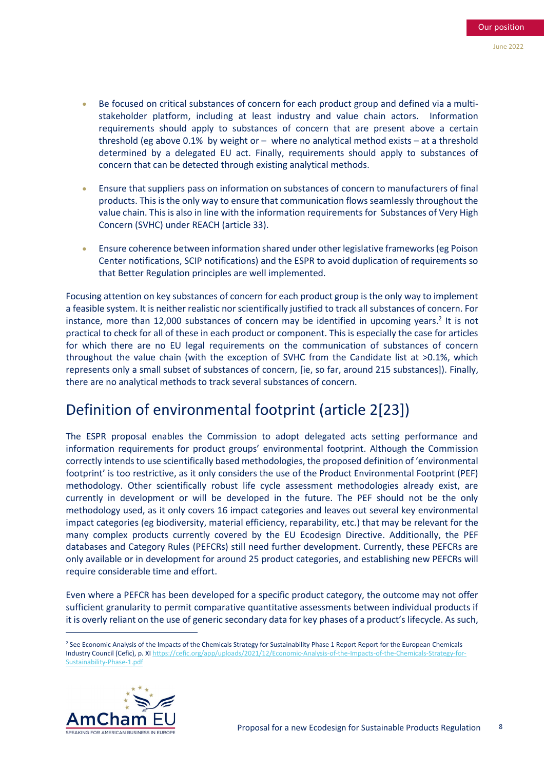- Be focused on critical substances of concern for each product group and defined via a multistakeholder platform, including at least industry and value chain actors. Information requirements should apply to substances of concern that are present above a certain threshold (eg above 0.1% by weight or – where no analytical method exists – at a threshold determined by a delegated EU act. Finally, requirements should apply to substances of concern that can be detected through existing analytical methods.
- Ensure that suppliers pass on information on substances of concern to manufacturers of final products. This is the only way to ensure that communication flows seamlessly throughout the value chain. This is also in line with the information requirements for Substances of Very High Concern (SVHC) under REACH (article 33).
- Ensure coherence between information shared under other legislative frameworks (eg Poison Center notifications, SCIP notifications) and the ESPR to avoid duplication of requirements so that Better Regulation principles are well implemented.

Focusing attention on key substances of concern for each product group is the only way to implement a feasible system. It is neither realistic nor scientifically justified to track all substances of concern. For instance, more than 12,000 substances of concern may be identified in upcoming years.<sup>2</sup> It is not practical to check for all of these in each product or component. This is especially the case for articles for which there are no EU legal requirements on the communication of substances of concern throughout the value chain (with the exception of SVHC from the Candidate list at >0.1%, which represents only a small subset of substances of concern, [ie, so far, around 215 substances]). Finally, there are no analytical methods to track several substances of concern.

## Definition of environmental footprint (article 2[23])

The ESPR proposal enables the Commission to adopt delegated acts setting performance and information requirements for product groups' environmental footprint. Although the Commission correctly intends to use scientifically based methodologies, the proposed definition of 'environmental footprint' is too restrictive, as it only considers the use of the Product Environmental Footprint (PEF) methodology. Other scientifically robust life cycle assessment methodologies already exist, are currently in development or will be developed in the future. The PEF should not be the only methodology used, as it only covers 16 impact categories and leaves out several key environmental impact categories (eg biodiversity, material efficiency, reparability, etc.) that may be relevant for the many complex products currently covered by the EU Ecodesign Directive. Additionally, the PEF databases and Category Rules (PEFCRs) still need further development. Currently, these PEFCRs are only available or in development for around 25 product categories, and establishing new PEFCRs will require considerable time and effort.

Even where a PEFCR has been developed for a specific product category, the outcome may not offer sufficient granularity to permit comparative quantitative assessments between individual products if it is overly reliant on the use of generic secondary data for key phases of a product's lifecycle. As such,

<sup>&</sup>lt;sup>2</sup> See Economic Analysis of the Impacts of the Chemicals Strategy for Sustainability Phase 1 Report Report for the European Chemicals Industry Council (Cefic), p. XI [https://cefic.org/app/uploads/2021/12/Economic-Analysis-of-the-Impacts-of-the-Chemicals-Strategy-for-](https://cefic.org/app/uploads/2021/12/Economic-Analysis-of-the-Impacts-of-the-Chemicals-Strategy-for-Sustainability-Phase-1.pdf)[Sustainability-Phase-1.pdf](https://cefic.org/app/uploads/2021/12/Economic-Analysis-of-the-Impacts-of-the-Chemicals-Strategy-for-Sustainability-Phase-1.pdf)

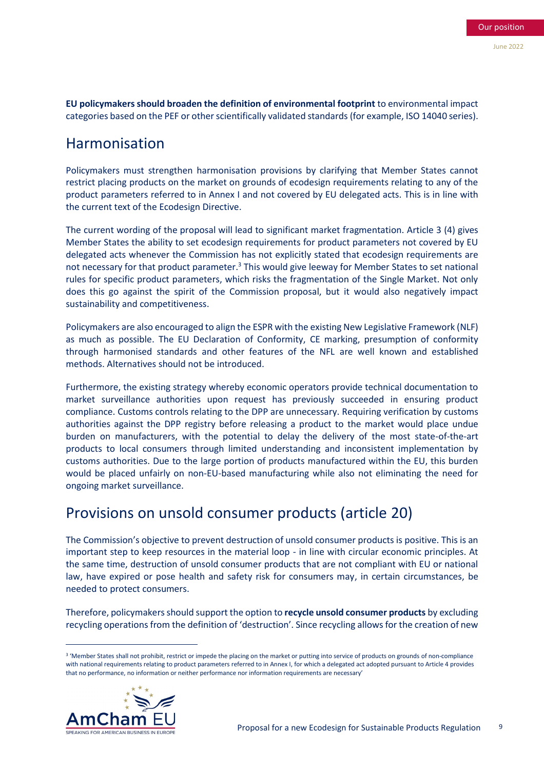**EU policymakers should broaden the definition of environmental footprint** to environmental impact categories based on the PEF or other scientifically validated standards (for example, ISO 14040 series).

### Harmonisation

Policymakers must strengthen harmonisation provisions by clarifying that Member States cannot restrict placing products on the market on grounds of ecodesign requirements relating to any of the product parameters referred to in Annex I and not covered by EU delegated acts. This is in line with the current text of the Ecodesign Directive.

The current wording of the proposal will lead to significant market fragmentation. Article 3 (4) gives Member States the ability to set ecodesign requirements for product parameters not covered by EU delegated acts whenever the Commission has not explicitly stated that ecodesign requirements are not necessary for that product parameter.<sup>3</sup> This would give leeway for Member States to set national rules for specific product parameters, which risks the fragmentation of the Single Market. Not only does this go against the spirit of the Commission proposal, but it would also negatively impact sustainability and competitiveness.

Policymakers are also encouraged to align the ESPR with the existing New Legislative Framework (NLF) as much as possible. The EU Declaration of Conformity, CE marking, presumption of conformity through harmonised standards and other features of the NFL are well known and established methods. Alternatives should not be introduced.

Furthermore, the existing strategy whereby economic operators provide technical documentation to market surveillance authorities upon request has previously succeeded in ensuring product compliance. Customs controls relating to the DPP are unnecessary. Requiring verification by customs authorities against the DPP registry before releasing a product to the market would place undue burden on manufacturers, with the potential to delay the delivery of the most state-of-the-art products to local consumers through limited understanding and inconsistent implementation by customs authorities. Due to the large portion of products manufactured within the EU, this burden would be placed unfairly on non-EU-based manufacturing while also not eliminating the need for ongoing market surveillance.

## Provisions on unsold consumer products (article 20)

The Commission's objective to prevent destruction of unsold consumer products is positive. This is an important step to keep resources in the material loop - in line with circular economic principles. At the same time, destruction of unsold consumer products that are not compliant with EU or national law, have expired or pose health and safety risk for consumers may, in certain circumstances, be needed to protect consumers.

Therefore, policymakers should support the option to **recycle unsold consumer products** by excluding recycling operations from the definition of 'destruction'. Since recycling allows for the creation of new

<sup>3</sup> 'Member States shall not prohibit, restrict or impede the placing on the market or putting into service of products on grounds of non-compliance with national requirements relating to product parameters referred to in Annex I, for which a delegated act adopted pursuant to Article 4 provides that no performance, no information or neither performance nor information requirements are necessary'